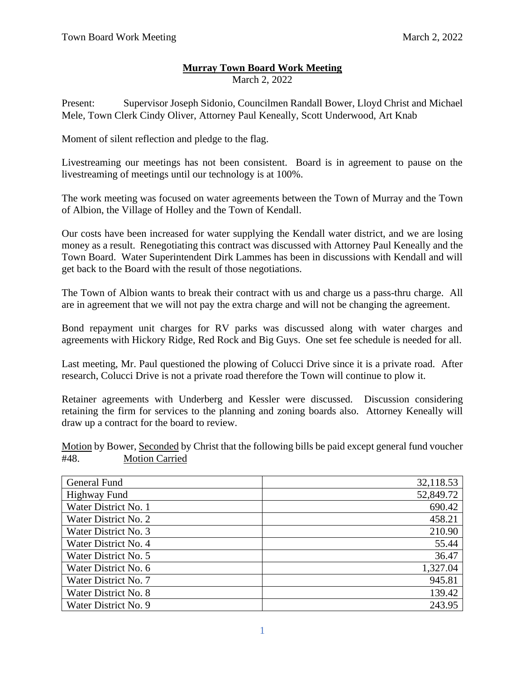## **Murray Town Board Work Meeting**

March 2, 2022

Present: Supervisor Joseph Sidonio, Councilmen Randall Bower, Lloyd Christ and Michael Mele, Town Clerk Cindy Oliver, Attorney Paul Keneally, Scott Underwood, Art Knab

Moment of silent reflection and pledge to the flag.

Livestreaming our meetings has not been consistent. Board is in agreement to pause on the livestreaming of meetings until our technology is at 100%.

The work meeting was focused on water agreements between the Town of Murray and the Town of Albion, the Village of Holley and the Town of Kendall.

Our costs have been increased for water supplying the Kendall water district, and we are losing money as a result. Renegotiating this contract was discussed with Attorney Paul Keneally and the Town Board. Water Superintendent Dirk Lammes has been in discussions with Kendall and will get back to the Board with the result of those negotiations.

The Town of Albion wants to break their contract with us and charge us a pass-thru charge. All are in agreement that we will not pay the extra charge and will not be changing the agreement.

Bond repayment unit charges for RV parks was discussed along with water charges and agreements with Hickory Ridge, Red Rock and Big Guys. One set fee schedule is needed for all.

Last meeting, Mr. Paul questioned the plowing of Colucci Drive since it is a private road. After research, Colucci Drive is not a private road therefore the Town will continue to plow it.

Retainer agreements with Underberg and Kessler were discussed. Discussion considering retaining the firm for services to the planning and zoning boards also. Attorney Keneally will draw up a contract for the board to review.

Motion by Bower, Seconded by Christ that the following bills be paid except general fund voucher #48. Motion Carried

| General Fund         | 32,118.53 |
|----------------------|-----------|
| <b>Highway Fund</b>  | 52,849.72 |
| Water District No. 1 | 690.42    |
| Water District No. 2 | 458.21    |
| Water District No. 3 | 210.90    |
| Water District No. 4 | 55.44     |
| Water District No. 5 | 36.47     |
| Water District No. 6 | 1,327.04  |
| Water District No. 7 | 945.81    |
| Water District No. 8 | 139.42    |
| Water District No. 9 | 243.95    |